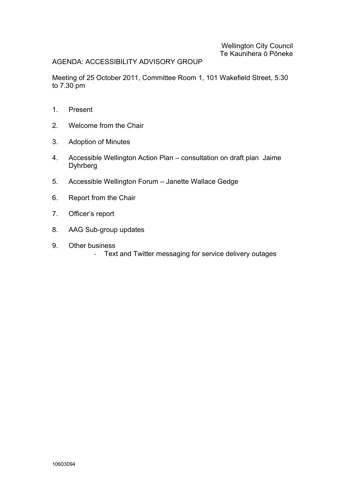# AGENDA: ACCESSIBILITY ADVISORY GROUP

Meeting of 25 October 2011, Committee Room 1, 101 Wakefield Street, 5.30 to 7.30 pm

- $1<sub>1</sub>$ Present
- $\mathcal{P}$ Welcome from the Chair
- $3<sub>1</sub>$ **Adoption of Minutes**
- $4.$ Accessible Wellington Action Plan - consultation on draft plan Jaime **Dyhrberg**
- $5<sub>1</sub>$ Accessible Wellington Forum - Janette Wallace Gedge
- 6. Report from the Chair
- $7<sup>1</sup>$ Officer's report
- $8<sub>1</sub>$ AAG Sub-group updates
- $9<sub>1</sub>$ Other business
	- Text and Twitter messaging for service delivery outages  $\omega_{\rm{eff}}$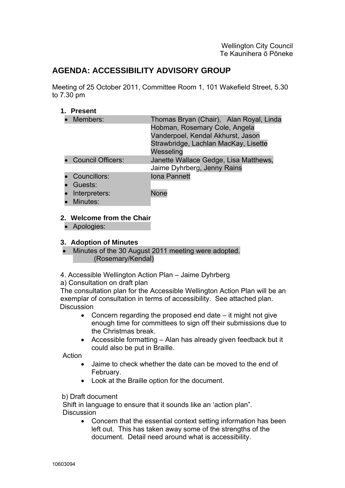# **AGENDA: ACCESSIBILITY ADVISORY GROUP**

Meeting of 25 October 2011, Committee Room 1, 101 Wakefield Street, 5.30 to 7.30 pm

# **1. Present**

| • Members:          | Thomas Bryan (Chair), Alan Royal, Linda                                                                    |
|---------------------|------------------------------------------------------------------------------------------------------------|
|                     | Hobman, Rosemary Cole, Angela<br>Vanderpoel, Kendal Akhurst, Jason<br>Strawbridge, Lachlan MacKay, Lisette |
|                     | Wesseling                                                                                                  |
| • Council Officers: | Janette Wallace Gedge, Lisa Matthews,                                                                      |
|                     | Jaime Dyhrberg, Jenny Rains                                                                                |
| • Councillors:      | Iona Pannett                                                                                               |
| • Guests:           |                                                                                                            |
| • Interpreters:     | <b>None</b>                                                                                                |
| • Minutes:          |                                                                                                            |

# **2. Welcome from the Chair**

• Apologies:

# **3. Adoption of Minutes**

- Minutes of the 30 August 2011 meeting were adopted. (Rosemary/Kendal)
- 4. Accessible Wellington Action Plan Jaime Dyhrberg

a) Consultation on draft plan

The consultation plan for the Accessible Wellington Action Plan will be an exemplar of consultation in terms of accessibility. See attached plan. **Discussion** 

- Concern regarding the proposed end date it might not give enough time for committees to sign off their submissions due to the Christmas break.
- Accessible formatting Alan has already given feedback but it could also be put in Braille.

Action

- Jaime to check whether the date can be moved to the end of February.
- Look at the Braille option for the document.

# b) Draft document

Shift in language to ensure that it sounds like an 'action plan". **Discussion** 

• Concern that the essential context setting information has been left out. This has taken away some of the strengths of the document. Detail need around what is accessibility.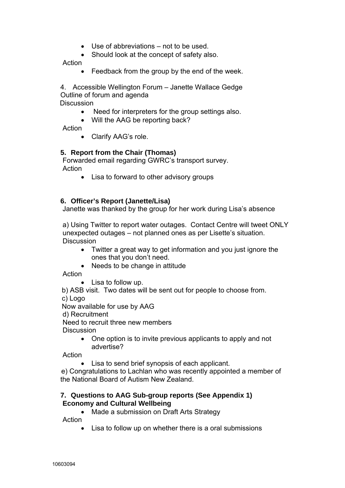- Use of abbreviations not to be used.
- Should look at the concept of safety also.

Action

• Feedback from the group by the end of the week.

4. Accessible Wellington Forum – Janette Wallace Gedge Outline of forum and agenda

**Discussion** 

- Need for interpreters for the group settings also.
- Will the AAG be reporting back?

Action

• Clarify AAG's role.

# **5. Report from the Chair (Thomas)**

Forwarded email regarding GWRC's transport survey. Action

• Lisa to forward to other advisory groups

# **6. Officer's Report (Janette/Lisa)**

Janette was thanked by the group for her work during Lisa's absence

a) Using Twitter to report water outages. Contact Centre will tweet ONLY unexpected outages – not planned ones as per Lisette's situation. **Discussion** 

- Twitter a great way to get information and you just ignore the ones that you don't need.
- Needs to be change in attitude

Action

• Lisa to follow up.

 b) ASB visit. Two dates will be sent out for people to choose from. c) Logo

Now available for use by AAG

d) Recruitment

Need to recruit three new members

**Discussion** 

• One option is to invite previous applicants to apply and not advertise?

Action

• Lisa to send brief synopsis of each applicant.

e) Congratulations to Lachlan who was recently appointed a member of the National Board of Autism New Zealand.

# **7. Questions to AAG Sub-group reports (See Appendix 1) Economy and Cultural Wellbeing**

• Made a submission on Draft Arts Strategy Action

• Lisa to follow up on whether there is a oral submissions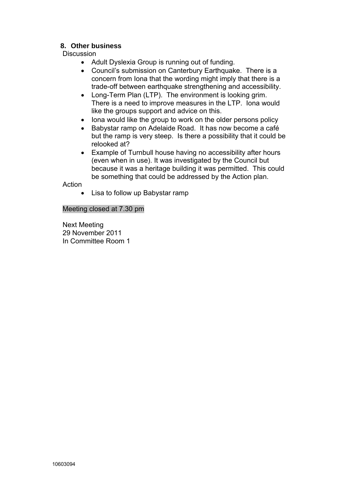# **8. Other business**

**Discussion** 

- Adult Dyslexia Group is running out of funding.
- Council's submission on Canterbury Earthquake. There is a concern from Iona that the wording might imply that there is a trade-off between earthquake strengthening and accessibility.
- Long-Term Plan (LTP). The environment is looking grim. There is a need to improve measures in the LTP. Iona would like the groups support and advice on this.
- Iona would like the group to work on the older persons policy
- Babystar ramp on Adelaide Road. It has now become a café but the ramp is very steep. Is there a possibility that it could be relooked at?
- Example of Turnbull house having no accessibility after hours (even when in use). It was investigated by the Council but because it was a heritage building it was permitted. This could be something that could be addressed by the Action plan.

Action

• Lisa to follow up Babystar ramp

Meeting closed at 7.30 pm

Next Meeting 29 November 2011 In Committee Room 1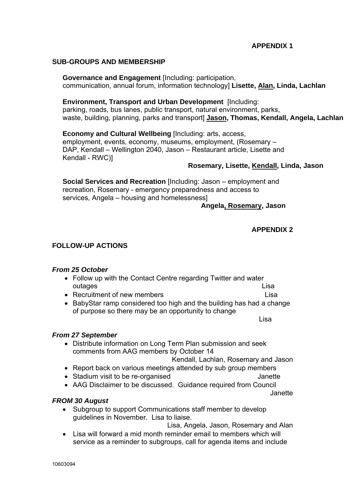# **APPENDIX 1**

#### **SUB-GROUPS AND MEMBERSHIP**

**Governance and Engagement** [Including: participation, communication, annual forum, information technology] **Lisette, Alan, Linda, Lachlan**

**Environment, Transport and Urban Development** [Including: parking, roads, bus lanes, public transport, natural environment, parks, waste, building, planning, parks and transport] **Jason, Thomas, Kendall, Angela, Lachlan**

**Economy and Cultural Wellbeing** [Including: arts, access, employment, events, economy, museums, employment, (Rosemary – DAP, Kendall – Wellington 2040, Jason – Restaurant article, Lisette and Kendall - RWC)]

#### **Rosemary, Lisette, Kendall, Linda, Jason**

**Social Services and Recreation** [Including: Jason – employment and recreation, Rosemary - emergency preparedness and access to services, Angela – housing and homelessness]

 **Angela, Rosemary, Jason** 

#### **APPENDIX 2**

# **FOLLOW-UP ACTIONS**

#### *From 25 October*

- Follow up with the Contact Centre regarding Twitter and water outages **Lisa** 
	-
- Recruitment of new members **Lisa**
- BabyStar ramp considered too high and the building has had a change of purpose so there may be an opportunity to change

e a construction and the construction of the construction of the construction of the construction of the const

#### *From 27 September*

• Distribute information on Long Term Plan submission and seek comments from AAG members by October 14

Kendall, Lachlan, Rosemary and Jason

- Report back on various meetings attended by sub group members
- Stadium visit to be re-organised values of the Janette
- AAG Disclaimer to be discussed. Guidance required from Council

Janette

#### *FROM 30 August*

• Subgroup to support Communications staff member to develop guidelines in November. Lisa to liaise.

Lisa, Angela, Jason, Rosemary and Alan

• Lisa will forward a mid month reminder email to members which will service as a reminder to subgroups, call for agenda items and include